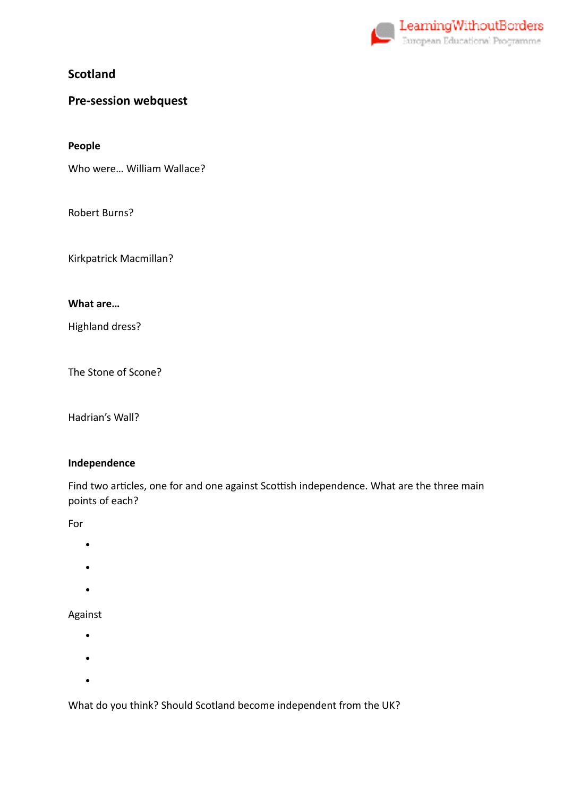

**Scotland** 

# **Pre-session webquest**

**People** 

Who were… William Wallace?

Robert Burns?

Kirkpatrick Macmillan?

#### **What are…**

Highland dress?

The Stone of Scone?

Hadrian's Wall?

#### **Independence**

Find two articles, one for and one against Scottish independence. What are the three main points of each?

For

- •
- •
- 
- •

### Against

- •
- •
- 
- •

What do you think? Should Scotland become independent from the UK?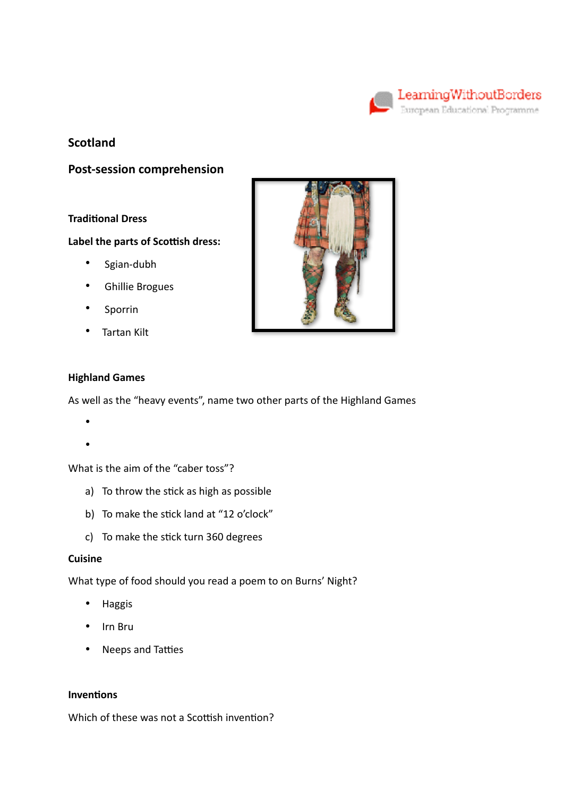

## **Scotland**

**Post-session comprehension** 

#### **Traditional Dress**

#### **Label the parts of Scottish dress:**

- Sgian-dubh
- Ghillie Brogues
- Sporrin
- Tartan Kilt



#### **Highland Games**

As well as the "heavy events", name two other parts of the Highland Games

- •
- •

What is the aim of the "caber toss"?

- a) To throw the stick as high as possible
- b) To make the stick land at "12 o'clock"
- c) To make the stick turn 360 degrees

#### **Cuisine**

What type of food should you read a poem to on Burns' Night?

- Haggis
- Irn Bru
- Neeps and Tatties

## **Inventions**

Which of these was not a Scottish invention?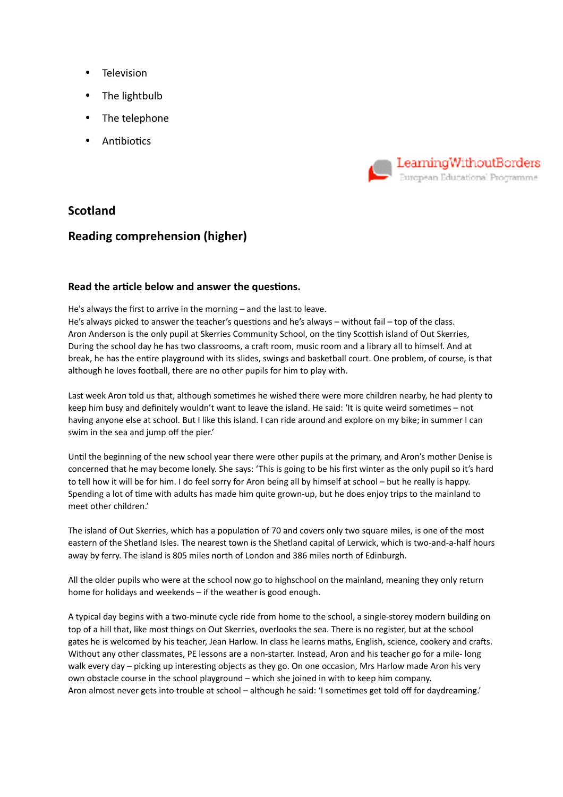- Television
- The lightbulb
- The telephone
- **Antibiotics**



## **Scotland**

## **Reading comprehension (higher)**

#### **Read the article below and answer the questions.**

He's always the first to arrive in the morning – and the last to leave.

He's always picked to answer the teacher's questions and he's always – without fail – top of the class. Aron Anderson is the only pupil at Skerries Community School, on the tiny Scottish island of Out Skerries, During the school day he has two classrooms, a craft room, music room and a library all to himself. And at break, he has the entire playground with its slides, swings and basketball court. One problem, of course, is that although he loves football, there are no other pupils for him to play with.

Last week Aron told us that, although sometimes he wished there were more children nearby, he had plenty to keep him busy and definitely wouldn't want to leave the island. He said: 'It is quite weird sometimes – not having anyone else at school. But I like this island. I can ride around and explore on my bike; in summer I can swim in the sea and jump off the pier.'

Until the beginning of the new school year there were other pupils at the primary, and Aron's mother Denise is concerned that he may become lonely. She says: 'This is going to be his first winter as the only pupil so it's hard to tell how it will be for him. I do feel sorry for Aron being all by himself at school – but he really is happy. Spending a lot of time with adults has made him quite grown-up, but he does enjoy trips to the mainland to meet other children.'

The island of Out Skerries, which has a population of 70 and covers only two square miles, is one of the most eastern of the Shetland Isles. The nearest town is the Shetland capital of Lerwick, which is two-and-a-half hours away by ferry. The island is 805 miles north of London and 386 miles north of Edinburgh.

All the older pupils who were at the school now go to highschool on the mainland, meaning they only return home for holidays and weekends – if the weather is good enough.

A typical day begins with a two-minute cycle ride from home to the school, a single-storey modern building on top of a hill that, like most things on Out Skerries, overlooks the sea. There is no register, but at the school gates he is welcomed by his teacher, Jean Harlow. In class he learns maths, English, science, cookery and crafts. Without any other classmates, PE lessons are a non-starter. Instead, Aron and his teacher go for a mile- long walk every day – picking up interesting objects as they go. On one occasion, Mrs Harlow made Aron his very own obstacle course in the school playground – which she joined in with to keep him company. Aron almost never gets into trouble at school – although he said: 'I sometimes get told off for daydreaming.'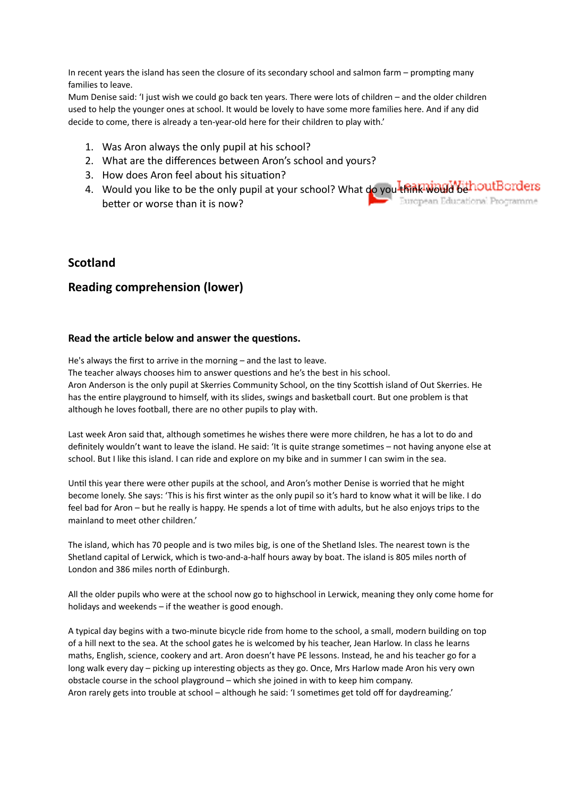In recent years the island has seen the closure of its secondary school and salmon farm – prompting many families to leave.

Mum Denise said: 'I just wish we could go back ten years. There were lots of children – and the older children used to help the younger ones at school. It would be lovely to have some more families here. And if any did decide to come, there is already a ten-year-old here for their children to play with.'

- 1. Was Aron always the only pupil at his school?
- 2. What are the differences between Aron's school and yours?
- 3. How does Aron feel about his situation?
- 4. Would you like to be the only pupil at your school? What do you think would be thout Borders handle be than it is now? better or worse than it is now?

### **Scotland**

### **Reading comprehension (lower)**

#### Read the article below and answer the questions.

He's always the first to arrive in the morning – and the last to leave.

The teacher always chooses him to answer questions and he's the best in his school.

Aron Anderson is the only pupil at Skerries Community School, on the tiny Scottish island of Out Skerries. He has the entire playground to himself, with its slides, swings and basketball court. But one problem is that although he loves football, there are no other pupils to play with.

Last week Aron said that, although sometimes he wishes there were more children, he has a lot to do and definitely wouldn't want to leave the island. He said: 'It is quite strange sometimes – not having anyone else at school. But I like this island. I can ride and explore on my bike and in summer I can swim in the sea.

Until this year there were other pupils at the school, and Aron's mother Denise is worried that he might become lonely. She says: 'This is his first winter as the only pupil so it's hard to know what it will be like. I do feel bad for Aron – but he really is happy. He spends a lot of time with adults, but he also enjoys trips to the mainland to meet other children.'

The island, which has 70 people and is two miles big, is one of the Shetland Isles. The nearest town is the Shetland capital of Lerwick, which is two-and-a-half hours away by boat. The island is 805 miles north of London and 386 miles north of Edinburgh.

All the older pupils who were at the school now go to highschool in Lerwick, meaning they only come home for holidays and weekends – if the weather is good enough.

A typical day begins with a two-minute bicycle ride from home to the school, a small, modern building on top of a hill next to the sea. At the school gates he is welcomed by his teacher, Jean Harlow. In class he learns maths, English, science, cookery and art. Aron doesn't have PE lessons. Instead, he and his teacher go for a long walk every day – picking up interesting objects as they go. Once, Mrs Harlow made Aron his very own obstacle course in the school playground – which she joined in with to keep him company. Aron rarely gets into trouble at school – although he said: 'I sometimes get told off for daydreaming.'